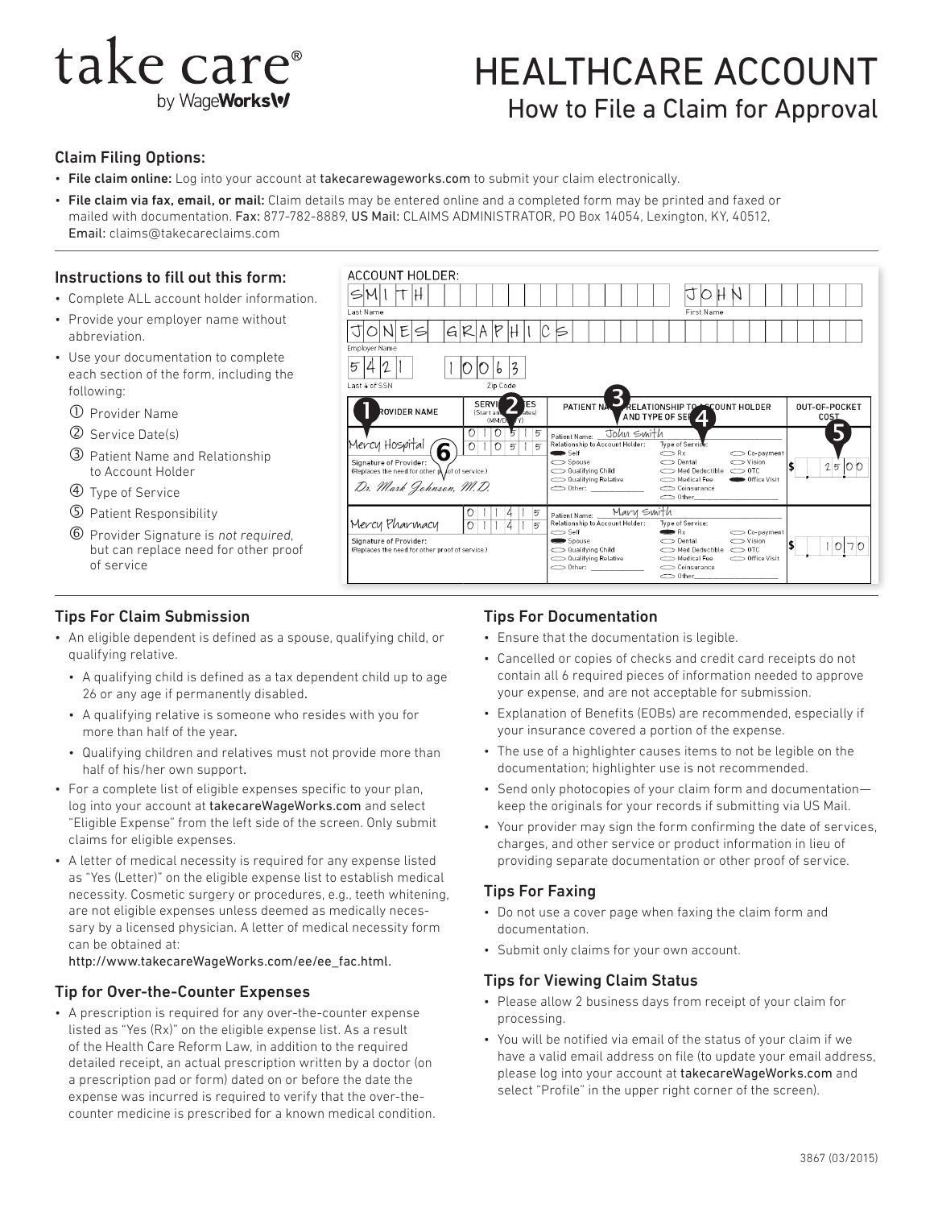# take care<sup>®</sup> by WageWorks\v

## HEALTHCARE ACCOUNT How to File a Claim for Approval

First Name

 $\boldsymbol{\Lambda}$ 

OUNT HOLDER

OUT-OF-POCKET

cos

#### Claim Filing Options:

• File claim online: Log into your account at [takecarewageworks.com](http://www.takecareWageWorks.com) to submit your claim electronically.

Last Name

Employer Nam

• File claim via fax, email, or mail: Claim details may be entered online and a completed form may be printed and faxed or mailed with documentation. Fax: 877-782-8889, US Mail: CLAIMS ADMINISTRATOR, PO Box 14054, Lexington, KY, 40512, Email: claims@takecareclaims.com

**ACCOUNT HOLDER:** 

JONES GRA

ROVIDER NAME

 $5421$  1 0 0 6 3

#### Instructions to fill out this form:

- Complete ALL account holder information.
- Provide your employer name without abbreviation.
- Use your documentation to complete each section of the form, including the following:
	- Provider Name
	- Service Date(s)
	- Patient Name and Relationship to Account Holder
	- Type of Service
	- Patient Responsibility
	- Provider Signature is not required, but can replace need for other proof of service

### Tips For Claim Submission

- An eligible dependent is defined as a spouse, qualifying child, or qualifying relative.
	- A qualifying child is defined as a tax dependent child up to age 26 or any age if permanently disabled.
	- A qualifying relative is someone who resides with you for more than half of the year.
	- Qualifying children and relatives must not provide more than half of his/her own support.
- For a complete list of eligible expenses specific to your plan, log into your account at [takecareWageWorks.com](http://www.takecareWageWorks.com) and select "Eligible Expense" from the left side of the screen. Only submit claims for eligible expenses.
- A letter of medical necessity is required for any expense listed as "Yes (Letter)" on the eligible expense list to establish medical necessity. Cosmetic surgery or procedures, e.g., teeth whitening, are not eligible expenses unless deemed as medically necessary by a licensed physician. A letter of medical necessity form can be obtained at:

[http://www.takecareWageWorks.com/ee/ee\\_fac.html.](http://www.takecareWageWorks.com/ee/ee_fac.html)

#### Tip for Over-the-Counter Expenses

• A prescription is required for any over-the-counter expense listed as "Yes (Rx)" on the eligible expense list. As a result of the Health Care Reform Law, in addition to the required detailed receipt, an actual prescription written by a doctor (on a prescription pad or form) dated on or before the date the expense was incurred is required to verify that the over-thecounter medicine is prescribed for a known medical condition.



PATIENT N

3

**RELATIONSHIP TO** 

AND TYPE OF SER

#### Tips For Documentation

SM I T H JOHN

Zin Code

**SERVI**  $\overline{2}$ ES

(Start

- Ensure that the documentation is legible.
- Cancelled or copies of checks and credit card receipts do not contain all 6 required pieces of information needed to approve your expense, and are not acceptable for submission.
- Explanation of Benefits (EOBs) are recommended, especially if your insurance covered a portion of the expense.
- The use of a highlighter causes items to not be legible on the documentation; highlighter use is not recommended.
- Send only photocopies of your claim form and documentation keep the originals for your records if submitting via US Mail.
- Your provider may sign the form confirming the date of services, charges, and other service or product information in lieu of providing separate documentation or other proof of service.

#### Tips For Faxing

- Do not use a cover page when faxing the claim form and documentation.
- Submit only claims for your own account.

#### Tips for Viewing Claim Status

- Please allow 2 business days from receipt of your claim for processing.
- You will be notified via email of the status of your claim if we have a valid email address on file (to update your email address, please log into your account at [takecareWageWorks.com](http://www.takecareWageWorks.com) and select "Profile" in the upper right corner of the screen).